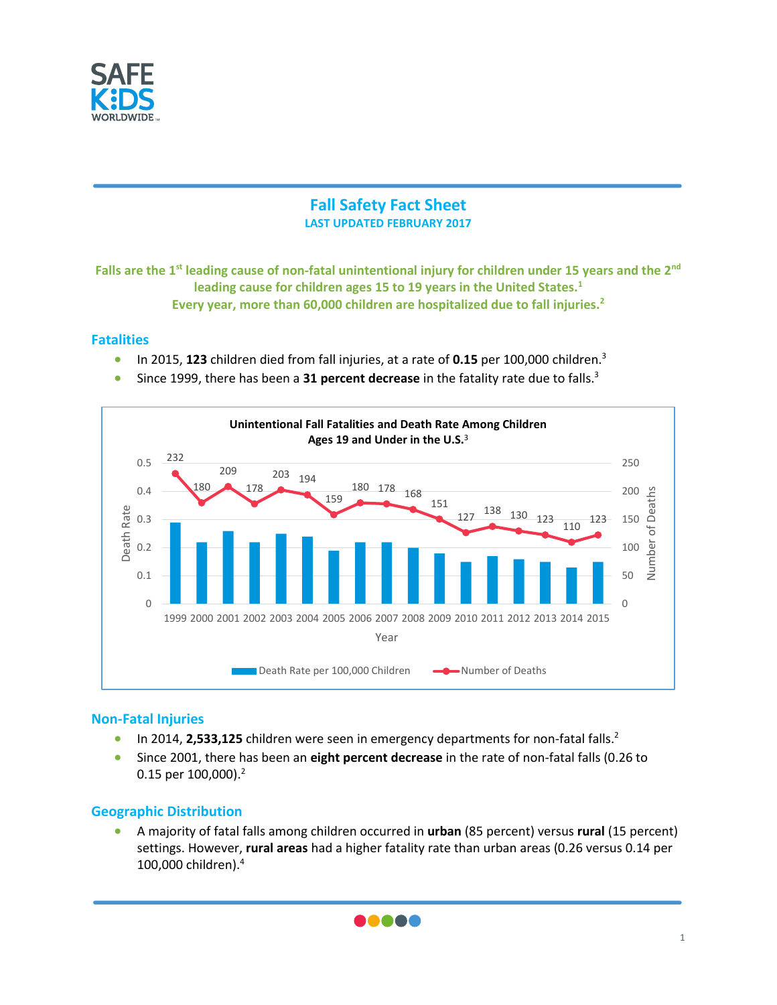

# **Fall Safety Fact Sheet LAST UPDATED FEBRUARY 2017**

**Falls are the 1 st leading cause of non-fatal unintentional injury for children under 15 years and the 2nd leading cause for children ages 15 to 19 years in the United States.<sup>1</sup> Every year, more than 60,000 children are hospitalized due to fall injuries. 2**

### **Fatalities**

- In 2015, **123** children died from fall injuries, at a rate of **0.15** per 100,000 children.<sup>3</sup>
- Since 1999, there has been a 31 percent decrease in the fatality rate due to falls.<sup>3</sup>



## **Non-Fatal Injuries**

- In 2014, 2,533,125 children were seen in emergency departments for non-fatal falls.<sup>2</sup>
- Since 2001, there has been an **eight percent decrease** in the rate of non-fatal falls (0.26 to 0.15 per 100,000).<sup>2</sup>

## **Geographic Distribution**

• A majority of fatal falls among children occurred in **urban** (85 percent) versus **rural** (15 percent) settings. However, **rural areas** had a higher fatality rate than urban areas (0.26 versus 0.14 per 100,000 children). 4

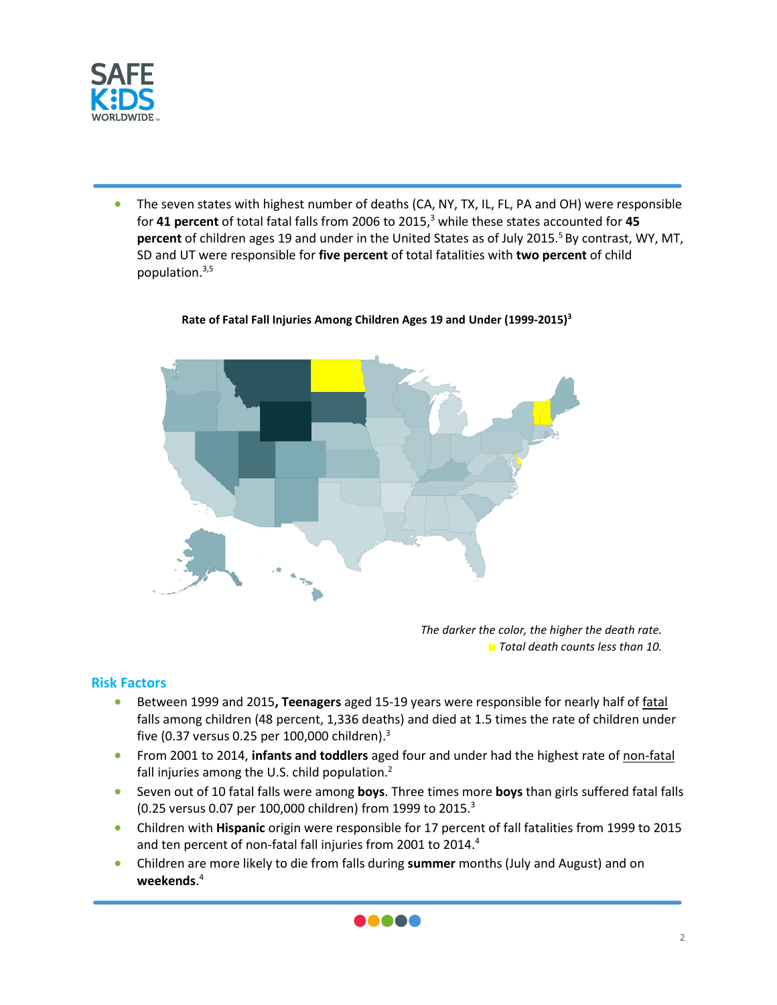

• The seven states with highest number of deaths (CA, NY, TX, IL, FL, PA and OH) were responsible for **41 percent** of total fatal falls from 2006 to 2015,<sup>3</sup> while these states accounted for **45 percent** of children ages 19 and under in the United States as of July 2015.<sup>5</sup> By contrast, WY, MT, SD and UT were responsible for **five percent** of total fatalities with **two percent** of child population.3,5



#### **Rate of Fatal Fall Injuries Among Children Ages 19 and Under (1999-2015)<sup>3</sup>**

*The darker the color, the higher the death rate.* ■ *Total death counts less than 10.*

#### **Risk Factors**

- Between 1999 and 2015**, Teenagers** aged 15-19 years were responsible for nearly half of fatal falls among children (48 percent, 1,336 deaths) and died at 1.5 times the rate of children under five (0.37 versus 0.25 per 100,000 children). 3
- From 2001 to 2014, **infants and toddlers** aged four and under had the highest rate of non-fatal fall injuries among the U.S. child population.<sup>2</sup>
- Seven out of 10 fatal falls were among **boys**. Three times more **boys** than girls suffered fatal falls (0.25 versus 0.07 per 100,000 children) from 1999 to 2015. 3
- Children with **Hispanic** origin were responsible for 17 percent of fall fatalities from 1999 to 2015 and ten percent of non-fatal fall injuries from 2001 to 2014.<sup>4</sup>
- Children are more likely to die from falls during **summer** months (July and August) and on **weekends**. 4